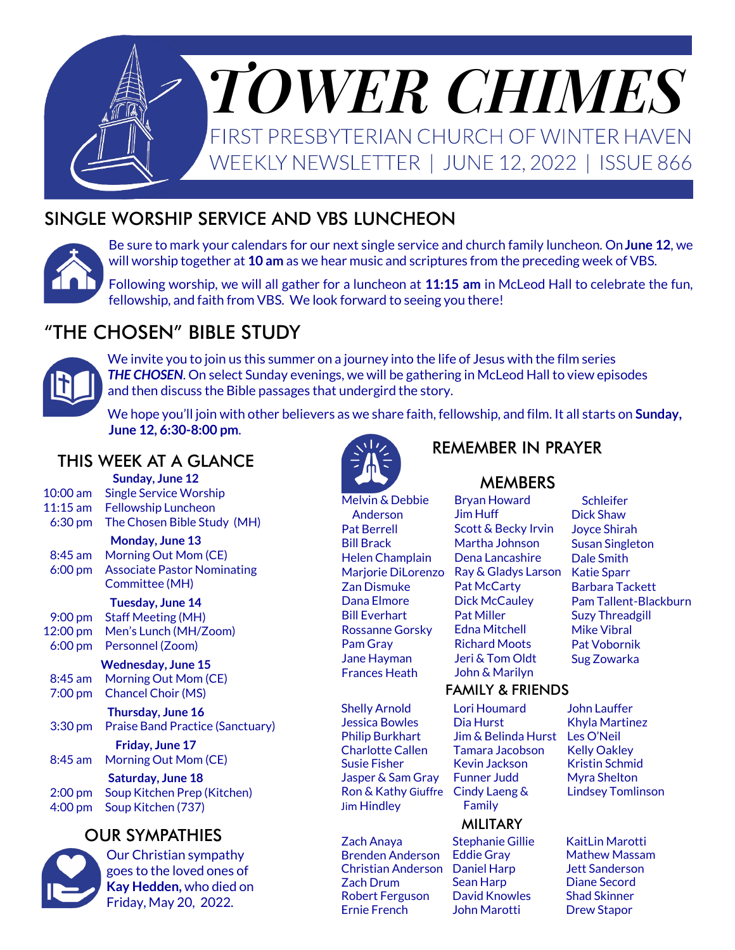

### SINGLE WORSHIP SERVICE AND VBS LUNCHEON



Be sure to mark your calendars for our next single service and church family luncheon. On **June 12**, we will worship together at **10 am** as we hear music and scriptures from the preceding week of VBS.

Following worship, we will all gather for a luncheon at **11:15 am** in McLeod Hall to celebrate the fun, fellowship, and faith from VBS. We look forward to seeing you there!

# "THE CHOSEN" BIBLE STUDY



We invite you to join us this summer on a journey into the life of Jesus with the film series *THE CHOSEN*. On select Sunday evenings, we will be gathering in McLeod Hall to view episodes and then discuss the Bible passages that undergird the story.

We hope you'll join with other believers as we share faith, fellowship, and film. It all starts on **Sunday, June 12, 6:30-8:00 pm**.

### THIS WEEK AT A GLANCE

**Sunday, June 12** 10:00 am Single Service Worship 11:15 am Fellowship Luncheon 6:30 pm The Chosen Bible Study (MH)

**Monday, June 13** 8:45 am Morning Out Mom (CE) 6:00 pm Associate Pastor Nominating Committee (MH)

#### **Tuesday, June 14**

9:00 pm Staff Meeting (MH) 12:00 pm Men's Lunch (MH/Zoom) 6:00 pm Personnel (Zoom)

### **Wednesday, June 15**

8:45 am Morning Out Mom (CE) 7:00 pm Chancel Choir (MS)

**Thursday, June 16** 3:30 pm Praise Band Practice (Sanctuary)

**Friday, June 17** 8:45 am Morning Out Mom (CE)

**Saturday, June 18** 2:00 pm Soup Kitchen Prep (Kitchen) 4:00 pm Soup Kitchen (737)

### OUR SYMPATHIES



Our Christian sympathy goes to the loved ones of **Kay Hedden,** who died on Friday, May 20, 2022.



Melvin & Debbie Anderson Pat Berrell Bill Brack Helen Champlain Marjorie DiLorenzo Zan Dismuke Dana Elmore Bill Everhart Rossanne Gorsky Pam Gray Jane Hayman Frances Heath

Shelly Arnold Jessica Bowles Philip Burkhart Charlotte Callen Susie Fisher Jasper & Sam Gray Ron & Kathy Giuffre Jim Hindley

Zach Anaya Brenden Anderson Christian Anderson Daniel Harp Zach Drum Robert Ferguson Ernie French

### REMEMBER IN PRAYER

### **MEMBERS**

Bryan Howard Jim Huff Scott & Becky Irvin Martha Johnson Dena Lancashire Ray & Gladys Larson Pat McCarty Dick McCauley Pat Miller Edna Mitchell Richard Moots Jeri & Tom Oldt John & Marilyn

#### **Schleifer** Dick Shaw Joyce Shirah Susan Singleton Dale Smith Katie Sparr Barbara Tackett Pam Tallent-Blackburn Suzy Threadgill Mike Vibral Pat Vobornik Sug Zowarka

#### FAMILY & FRIENDS

Lori Houmard Dia Hurst Jim & Belinda Hurst Tamara Jacobson Kevin Jackson Funner Judd Cindy Laeng & Family

### MILITARY

Stephanie Gillie Eddie Gray Sean Harp David Knowles John Marotti

John Lauffer Khyla Martinez Les O'Neil Kelly Oakley Kristin Schmid Myra Shelton Lindsey Tomlinson

KaitLin Marotti Mathew Massam Jett Sanderson Diane Secord Shad Skinner Drew Stapor